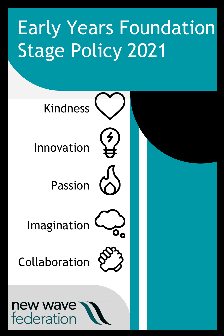# Early Years Foundation Stage Policy 2021

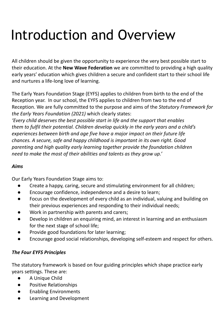# Introduction and Overview

All children should be given the opportunity to experience the very best possible start to their education. At the **New Wave Federation** we are committed to providing a high quality early years' education which gives children a secure and confident start to their school life and nurtures a life-long love of learning.

The Early Years Foundation Stage (EYFS) applies to children from birth to the end of the Reception year. In our school, the EYFS applies to children from two to the end of Reception. We are fully committed to the purpose and aims of the *Statutory Framework for the Early Years Foundation (2021)* which clearly states:

*'Every child deserves the best possible start in life and the support that enables them to fulfil their potential. Children develop quickly in the early years and a child's experiences between birth and age five have a major impact on their future life chances. A secure, safe and happy childhood is important in its own right. Good parenting and high quality early learning together provide the foundation children need to make the most of their abilities and talents as they grow up.'*

### *Aims*

Our Early Years Foundation Stage aims to:

- Create a happy, caring, secure and stimulating environment for all children;
- Encourage confidence, independence and a desire to learn;
- Focus on the development of every child as an individual, valuing and building on their previous experiences and responding to their individual needs;
- Work in partnership with parents and carers;
- Develop in children an enquiring mind, an interest in learning and an enthusiasm for the next stage of school life;
- Provide good foundations for later learning;
- Encourage good social relationships, developing self-esteem and respect for others.

### *The Four EYFS Principles*

The statutory framework is based on four guiding principles which shape practice early years settings. These are:

- A Unique Child
- Positive Relationships
- **Enabling Environments**
- Learning and Development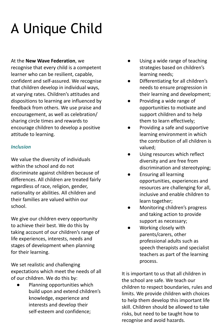# A Unique Child

### At the **New Wave Federation**, we

recognise that every child is a competent learner who can be resilient, capable, confident and self-assured. We recognise that children develop in individual ways, at varying rates. Children's attitudes and dispositions to learning are influenced by feedback from others. We use praise and encouragement, as well as celebration/ sharing circle times and rewards to encourage children to develop a positive attitude to learning.

### *Inclusion*

We value the diversity of individuals within the school and do not discriminate against children because of differences. All children are treated fairly regardless of race, religion, gender, nationality or abilities. All children and their families are valued within our school.

We give our children every opportunity to achieve their best. We do this by taking account of our children's range of life experiences, interests, needs and stages of development when planning for their learning.

We set realistic and challenging expectations which meet the needs of all of our children. We do this by:

Planning opportunities which build upon and extend children's knowledge, experience and interests and develop their self-esteem and confidence;

- Using a wide range of teaching strategies based on children's learning needs;
- Differentiating for all children's needs to ensure progression in their learning and development;
- Providing a wide range of opportunities to motivate and support children and to help them to learn effectively;
- Providing a safe and supportive learning environment in which the contribution of all children is valued;
- Using resources which reflect diversity and are free from discrimination and stereotyping;
- Ensuring all learning opportunities, experiences and resources are challenging for all, inclusive and enable children to learn together;
- Monitoring children's progress and taking action to provide support as necessary;
- Working closely with parents/carers, other professional adults such as speech therapists and specialist teachers as part of the learning process.

It is important to us that all children in the school are safe. We teach our children to respect boundaries, rules and limits. We provide children with choices to help them develop this important life skill. Children should be allowed to take risks, but need to be taught how to recognise and avoid hazards.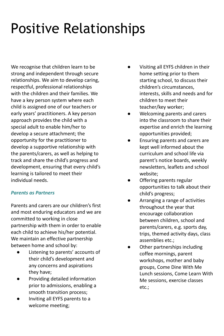# Positive Relationships

We recognise that children learn to be strong and independent through secure relationships. We aim to develop caring, respectful, professional relationships with the children and their families. We have a key person system where each child is assigned one of our teachers or early years' practitioners. A key person approach provides the child with a special adult to enable him/her to develop a secure attachment; the opportunity for the practitioner to develop a supportive relationship with the parents/carers, as well as helping to track and share the child's progress and development, ensuring that every child's learning is tailored to meet their individual needs.

### *Parents as Partners*

Parents and carers are our children's first and most enduring educators and we are committed to working in close partnership with them in order to enable each child to achieve his/her potential. We maintain an effective partnership between home and school by:

- Listening to parents' accounts of their child's development and any concerns and aspirations they have;
- Providing detailed information prior to admissions, enabling a smooth transition process;
- Inviting all EYFS parents to a welcome meeting;
- Visiting all EYFS children in their home setting prior to them starting school, to discuss their children's circumstances, interests, skills and needs and for children to meet their teacher/key worker;
- Welcoming parents and carers into the classroom to share their expertise and enrich the learning opportunities provided;
- Ensuring parents and carers are kept well informed about the curriculum and school life via parent's notice boards, weekly newsletters, leaflets and school website;
- Offering parents regular opportunities to talk about their child's progress;
- Arranging a range of activities throughout the year that encourage collaboration between children, school and parents/carers, e.g. sports day, trips, themed activity days, class assemblies etc.;
- Other partnerships including coffee mornings, parent workshops, mother and baby groups, Come Dine With Me Lunch sessions, Come Learn With Me sessions, exercise classes etc.;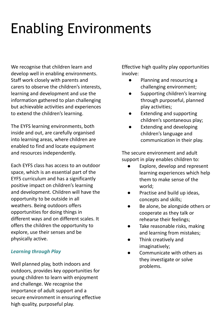# Enabling Environments

We recognise that children learn and develop well in enabling environments. Staff work closely with parents and carers to observe the children's interests, learning and development and use the information gathered to plan challenging but achievable activities and experiences to extend the children's learning.

The EYFS learning environments, both inside and out, are carefully organised into learning areas, where children are enabled to find and locate equipment and resources independently.

Each EYFS class has access to an outdoor space, which is an essential part of the EYFS curriculum and has a significantly positive impact on children's learning and development. Children will have the opportunity to be outside in all weathers. Being outdoors offers opportunities for doing things in different ways and on different scales. It offers the children the opportunity to explore, use their senses and be physically active.

### *Learning through Play*

Well planned play, both indoors and outdoors, provides key opportunities for young children to learn with enjoyment and challenge. We recognise the importance of adult support and a secure environment in ensuring effective high quality, purposeful play.

Effective high quality play opportunities involve:

- Planning and resourcing a challenging environment;
- Supporting children's learning through purposeful, planned play activities;
- **Extending and supporting** children's spontaneous play;
- **Extending and developing** children's language and communication in their play.

The secure environment and adult support in play enables children to:

- Explore, develop and represent learning experiences which help them to make sense of the world;
- Practise and build up ideas, concepts and skills;
- Be alone, be alongside others or cooperate as they talk or rehearse their feelings;
- Take reasonable risks, making and learning from mistakes;
- Think creatively and imaginatively;
- Communicate with others as they investigate or solve problems.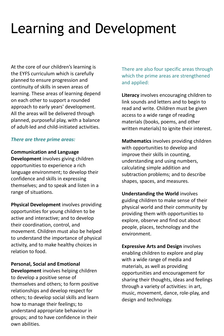# Learning and Development

At the core of our children's learning is the EYFS curriculum which is carefully planned to ensure progression and continuity of skills in seven areas of learning. These areas of learning depend on each other to support a rounded approach to early years' development. All the areas will be delivered through planned, purposeful play, with a balance of adult-led and child-initiated activities.

### *There are three prime areas:*

#### **Communication and Language**

**Development** involves giving children opportunities to experience a rich language environment; to develop their confidence and skills in expressing themselves; and to speak and listen in a range of situations.

**Physical Development** involves providing opportunities for young children to be active and interactive; and to develop their coordination, control, and movement. Children must also be helped to understand the importance of physical activity, and to make healthy choices in relation to food.

#### **Personal, Social and Emotional**

**Development** involves helping children to develop a positive sense of themselves and others; to form positive relationships and develop respect for others; to develop social skills and learn how to manage their feelings; to understand appropriate behaviour in groups; and to have confidence in their own abilities.

There are also four specific areas through which the prime areas are strengthened and applied:

**Literacy** involves encouraging children to link sounds and letters and to begin to read and write. Children must be given access to a wide range of reading materials (books, poems, and other written materials) to ignite their interest.

**Mathematics** involves providing children with opportunities to develop and improve their skills in counting, understanding and using numbers, calculating simple addition and subtraction problems; and to describe shapes, spaces, and measures.

**Understanding the World** involves guiding children to make sense of their physical world and their community by providing them with opportunities to explore, observe and find out about people, places, technology and the environment.

**Expressive Arts and Design involves** enabling children to explore and play with a wide range of media and materials, as well as providing opportunities and encouragement for sharing their thoughts, ideas and feelings through a variety of activities: in art, music, movement, dance, role-play, and design and technology.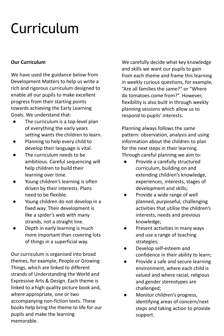# Curriculum

### **Our Curriculum**

We have used the guidance below from Development Matters to help us write a rich and rigorous curriculum designed to enable all our pupils to make excellent progress from their starting points towards achieving the Early Learning Goals. We understand that:

- The curriculum is a top-level plan of everything the early years setting wants the children to learn.
- Planning to help every child to develop their language is vital.
- The curriculum needs to be ambitious. Careful sequencing will help children to build their learning over time.
- Young children's learning is often driven by their interests. Plans need to be flexible.
- Young children do not develop in a fixed way. Their development is like a spider's web with many strands, not a straight line.
- Depth in early learning is much more important than covering lots of things in a superficial way.

Our curriculum is organised into broad themes, for example, People or Growing Things, which are linked to different strands of Understanding the World and Expressive Arts & Design. Each theme is linked to a high quality picture book and, where appropriate, one or two accompanying non-fiction texts. These books help bring the theme to life for our pupils and make the learning memorable.

We carefully decide what key knowledge and skills we want our pupils to gain from each theme and frame this learning in weekly curious questions, for example, "Are all families the same?" or "Where do tomatoes come from?". However, flexibility is also built in through weekly planning sessions which allow us to respond to pupils' interests.

Planning always follows the same pattern: observation, analysis and using information about the children to plan for the next steps in their learning. Through careful planning we aim to:

- Provide a carefully structured curriculum, building on and extending children's knowledge, experiences, interests, stages of development and skills;
- Provide a wide range of well planned, purposeful, challenging activities that utilise the children's interests, needs and previous knowledge;
- Present activities in many ways and use a range of teaching strategies;
- Develop self-esteem and confidence in their ability to learn;
- Provide a safe and secure learning environment, where each child is valued and where racial, religious and gender stereotypes are challenged;
- Monitor children's progress, identifying areas of concern/next steps and taking action to provide support.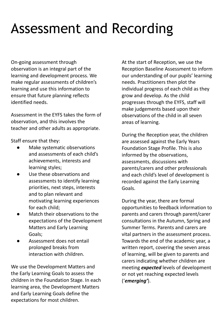## Assessment and Recording

On-going assessment through observation is an integral part of the learning and development process. We make regular assessments of children's learning and use this information to ensure that future planning reflects identified needs.

Assessment in the EYFS takes the form of observation, and this involves the teacher and other adults as appropriate.

Staff ensure that they:

- Make systematic observations and assessments of each child's achievements, interests and learning styles;
- Use these observations and assessments to identify learning priorities, next steps, interests and to plan relevant and motivating learning experiences for each child;
- Match their observations to the expectations of the Development Matters and Early Learning Goals;
- Assessment does not entail prolonged breaks from interaction with children.

We use the Development Matters and the Early Learning Goals to assess the children in the Foundation Stage. In each learning area, the Development Matters and Early Learning Goals define the expectations for most children.

At the start of Reception, we use the Reception Baseline Assessment to inform our understanding of our pupils' learning needs. Practitioners then plot the individual progress of each child as they grow and develop. As the child progresses through the EYFS, staff will make judgements based upon their observations of the child in all seven areas of learning.

During the Reception year, the children are assessed against the Early Years Foundation Stage Profile. This is also informed by the observations, assessments, discussions with parents/carers and other professionals and each child's level of development is recorded against the Early Learning Goals.

During the year, there are formal opportunities to feedback information to parents and carers through parent/carer consultations in the Autumn, Spring and Summer Terms. Parents and carers are vital partners in the assessment process. Towards the end of the academic year, a written report, covering the seven areas of learning, will be given to parents and carers indicating whether children are meeting *expected* levels of development or not yet reaching expected levels ('*emerging'*).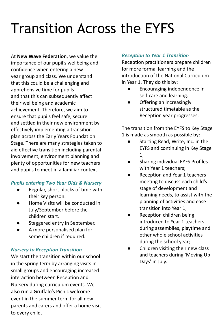# Transition Across the EYFS

At **New Wave Federation**, we value the importance of our pupil's wellbeing and confidence when entering a new year group and class. We understand that this could be a challenging and apprehensive time for pupils and that this can subsequently affect their wellbeing and academic achievement. Therefore, we aim to ensure that pupils feel safe, secure and settled in their new environment by effectively implementing a transition plan across the Early Years Foundation Stage. There are many strategies taken to aid effective transition including parental involvement, environment planning and plenty of opportunities for new teachers and pupils to meet in a familiar context.

### *Pupils entering Two Year Olds & Nursery*

- Regular, short blocks of time with their key person.
- Home Visits will be conducted in July/September before the children start.
- Staggered entry in September.
- A more personalised plan for some children if required.

### *Nursery to Reception Transition*

We start the transition within our school in the spring term by arranging visits in small groups and encouraging increased interaction between Reception and Nursery during curriculum events. We also run a Gruffalo's Picnic welcome event in the summer term for all new parents and carers and offer a home visit to every child.

#### *Reception to Year 1 Transition*

Reception practitioners prepare children for more formal learning and the introduction of the National Curriculum in Year 1. They do this by:

- Encouraging independence in self-care and learning.
- Offering an increasingly structured timetable as the Reception year progresses.

The transition from the EYFS to Key Stage 1 is made as smooth as possible by:

- Starting Read, Write, Inc. in the EYFS and continuing in Key Stage 1;
- Sharing individual EYFS Profiles with Year 1 teachers;
- Reception and Year 1 teachers meeting to discuss each child's stage of development and learning needs, to assist with the planning of activities and ease transition into Year 1;
- Reception children being introduced to Year 1 teachers during assemblies, playtime and other whole school activities during the school year;
- Children visiting their new class and teachers during 'Moving Up Days' in July.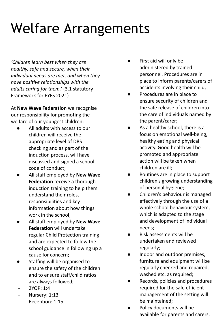# Welfare Arrangements

*'Children learn best when they are healthy, safe and secure, when their individual needs are met, and when they have positive relationships with the adults caring for them.'* (3.1 statutory Framework for EYFS 2021)

At **New Wave Federation** we recognise our responsibility for promoting the welfare of our youngest children:

- All adults with access to our children will receive the appropriate level of DBS checking and as part of the induction process, will have discussed and signed a school code of conduct;
- All staff employed by **New Wave Federation** receive a thorough induction training to help them understand their roles, responsibilities and key information about how things work in the school;
- All staff employed by **New Wave Federation** will undertake regular Child Protection training and are expected to follow the school guidance in following up a cause for concern;
- Staffing will be organised to ensure the safety of the children and to ensure staff/child ratios are always followed;
- 2YOP: 1:4
- Nursery: 1:13
- Reception: 1:15
- First aid will only be administered by trained personnel. Procedures are in place to inform parents/carers of accidents involving their child;
- Procedures are in place to ensure security of children and the safe release of children into the care of individuals named by the parent/carer;
- As a healthy school, there is a focus on emotional well-being, healthy eating and physical activity. Good health will be promoted and appropriate action will be taken when children are ill;
- Routines are in place to support children's growing understanding of personal hygiene;
- Children's behaviour is managed effectively through the use of a whole school behaviour system, which is adapted to the stage and development of individual needs;
- Risk assessments will be undertaken and reviewed regularly;
- Indoor and outdoor premises, furniture and equipment will be regularly checked and repaired, washed etc. as required;
- Records, policies and procedures required for the safe efficient management of the setting will be maintained;
- Policy documents will be available for parents and carers.